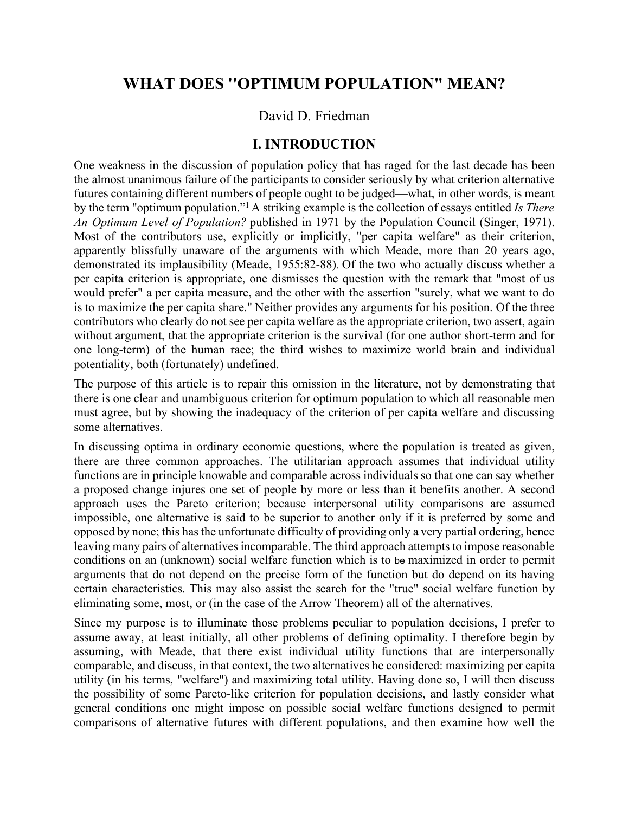# **WHAT DOES ''OPTIMUM POPULATION" MEAN?**

### David D. Friedman

### **I. INTRODUCTION**

One weakness in the discussion of population policy that has raged for the last decade has been the almost unanimous failure of the participants to consider seriously by what criterion alternative futures containing different numbers of people ought to be judged—what, in other words, is meant by the term "optimum population."1 A striking example is the collection of essays entitled *Is There An Optimum Level of Population?* published in 1971 by the Population Council (Singer, 1971). Most of the contributors use, explicitly or implicitly, "per capita welfare" as their criterion, apparently blissfully unaware of the arguments with which Meade, more than 20 years ago, demonstrated its implausibility (Meade, 1955:82-88). Of the two who actually discuss whether a per capita criterion is appropriate, one dismisses the question with the remark that "most of us would prefer" a per capita measure, and the other with the assertion "surely, what we want to do is to maximize the per capita share." Neither provides any arguments for his position. Of the three contributors who clearly do not see per capita welfare as the appropriate criterion, two assert, again without argument, that the appropriate criterion is the survival (for one author short-term and for one long-term) of the human race; the third wishes to maximize world brain and individual potentiality, both (fortunately) undefined.

The purpose of this article is to repair this omission in the literature, not by demonstrating that there is one clear and unambiguous criterion for optimum population to which all reasonable men must agree, but by showing the inadequacy of the criterion of per capita welfare and discussing some alternatives.

In discussing optima in ordinary economic questions, where the population is treated as given, there are three common approaches. The utilitarian approach assumes that individual utility functions are in principle knowable and comparable across individuals so that one can say whether a proposed change injures one set of people by more or less than it benefits another. A second approach uses the Pareto criterion; because interpersonal utility comparisons are assumed impossible, one alternative is said to be superior to another only if it is preferred by some and opposed by none; this has the unfortunate difficulty of providing only a very partial ordering, hence leaving many pairs of alternatives incomparable. The third approach attempts to impose reasonable conditions on an (unknown) social welfare function which is to be maximized in order to permit arguments that do not depend on the precise form of the function but do depend on its having certain characteristics. This may also assist the search for the "true" social welfare function by eliminating some, most, or (in the case of the Arrow Theorem) all of the alternatives.

Since my purpose is to illuminate those problems peculiar to population decisions, I prefer to assume away, at least initially, all other problems of defining optimality. I therefore begin by assuming, with Meade, that there exist individual utility functions that are interpersonally comparable, and discuss, in that context, the two alternatives he considered: maximizing per capita utility (in his terms, "welfare") and maximizing total utility. Having done so, I will then discuss the possibility of some Pareto-like criterion for population decisions, and lastly consider what general conditions one might impose on possible social welfare functions designed to permit comparisons of alternative futures with different populations, and then examine how well the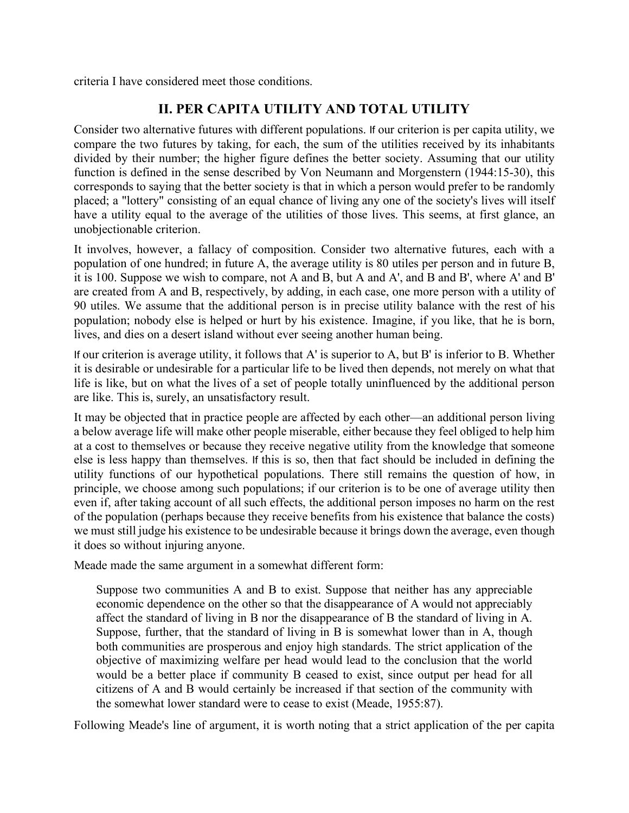criteria I have considered meet those conditions.

## **II. PER CAPITA UTILITY AND TOTAL UTILITY**

Consider two alternative futures with different populations. If our criterion is per capita utility, we compare the two futures by taking, for each, the sum of the utilities received by its inhabitants divided by their number; the higher figure defines the better society. Assuming that our utility function is defined in the sense described by Von Neumann and Morgenstern (1944:15-30), this corresponds to saying that the better society is that in which a person would prefer to be randomly placed; a "lottery" consisting of an equal chance of living any one of the society's lives will itself have a utility equal to the average of the utilities of those lives. This seems, at first glance, an unobjectionable criterion.

It involves, however, a fallacy of composition. Consider two alternative futures, each with a population of one hundred; in future A, the average utility is 80 utiles per person and in future B, it is 100. Suppose we wish to compare, not A and B, but A and A', and B and B', where A' and B' are created from A and B, respectively, by adding, in each case, one more person with a utility of 90 utiles. We assume that the additional person is in precise utility balance with the rest of his population; nobody else is helped or hurt by his existence. Imagine, if you like, that he is born, lives, and dies on a desert island without ever seeing another human being.

If our criterion is average utility, it follows that A' is superior to A, but B' is inferior to B. Whether it is desirable or undesirable for a particular life to be lived then depends, not merely on what that life is like, but on what the lives of a set of people totally uninfluenced by the additional person are like. This is, surely, an unsatisfactory result.

It may be objected that in practice people are affected by each other—an additional person living a below average life will make other people miserable, either because they feel obliged to help him at a cost to themselves or because they receive negative utility from the knowledge that someone else is less happy than themselves. If this is so, then that fact should be included in defining the utility functions of our hypothetical populations. There still remains the question of how, in principle, we choose among such populations; if our criterion is to be one of average utility then even if, after taking account of all such effects, the additional person imposes no harm on the rest of the population (perhaps because they receive benefits from his existence that balance the costs) we must still judge his existence to be undesirable because it brings down the average, even though it does so without injuring anyone.

Meade made the same argument in a somewhat different form:

Suppose two communities A and B to exist. Suppose that neither has any appreciable economic dependence on the other so that the disappearance of A would not appreciably affect the standard of living in B nor the disappearance of B the standard of living in A. Suppose, further, that the standard of living in B is somewhat lower than in A, though both communities are prosperous and enjoy high standards. The strict application of the objective of maximizing welfare per head would lead to the conclusion that the world would be a better place if community B ceased to exist, since output per head for all citizens of A and B would certainly be increased if that section of the community with the somewhat lower standard were to cease to exist (Meade, 1955:87).

Following Meade's line of argument, it is worth noting that a strict application of the per capita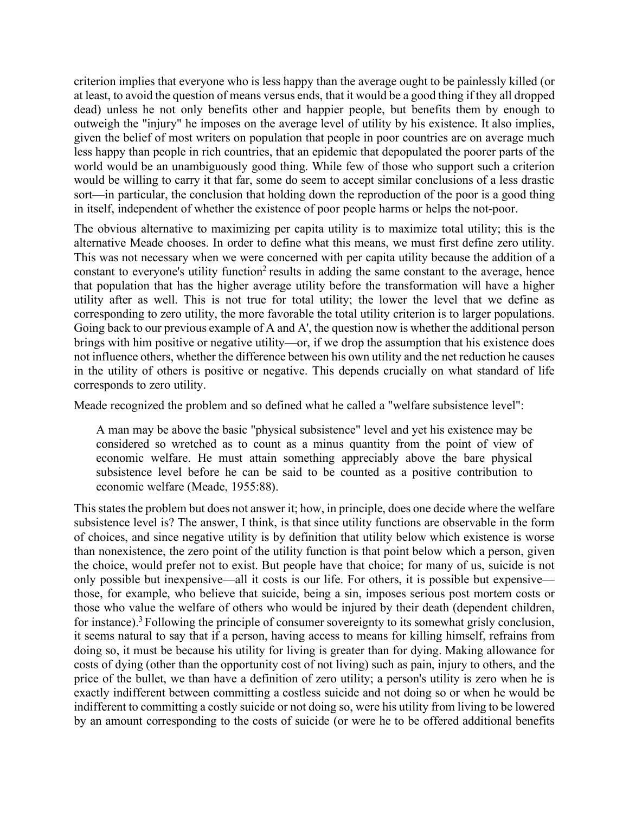criterion implies that everyone who is less happy than the average ought to be painlessly killed (or at least, to avoid the question of means versus ends, that it would be a good thing if they all dropped dead) unless he not only benefits other and happier people, but benefits them by enough to outweigh the "injury" he imposes on the average level of utility by his existence. It also implies, given the belief of most writers on population that people in poor countries are on average much less happy than people in rich countries, that an epidemic that depopulated the poorer parts of the world would be an unambiguously good thing. While few of those who support such a criterion would be willing to carry it that far, some do seem to accept similar conclusions of a less drastic sort—in particular, the conclusion that holding down the reproduction of the poor is a good thing in itself, independent of whether the existence of poor people harms or helps the not-poor.

The obvious alternative to maximizing per capita utility is to maximize total utility; this is the alternative Meade chooses. In order to define what this means, we must first define zero utility. This was not necessary when we were concerned with per capita utility because the addition of a constant to everyone's utility function<sup>2</sup> results in adding the same constant to the average, hence that population that has the higher average utility before the transformation will have a higher utility after as well. This is not true for total utility; the lower the level that we define as corresponding to zero utility, the more favorable the total utility criterion is to larger populations. Going back to our previous example of A and A', the question now is whether the additional person brings with him positive or negative utility—or, if we drop the assumption that his existence does not influence others, whether the difference between his own utility and the net reduction he causes in the utility of others is positive or negative. This depends crucially on what standard of life corresponds to zero utility.

Meade recognized the problem and so defined what he called a "welfare subsistence level":

A man may be above the basic "physical subsistence" level and yet his existence may be considered so wretched as to count as a minus quantity from the point of view of economic welfare. He must attain something appreciably above the bare physical subsistence level before he can be said to be counted as a positive contribution to economic welfare (Meade, 1955:88).

This states the problem but does not answer it; how, in principle, does one decide where the welfare subsistence level is? The answer, I think, is that since utility functions are observable in the form of choices, and since negative utility is by definition that utility below which existence is worse than nonexistence, the zero point of the utility function is that point below which a person, given the choice, would prefer not to exist. But people have that choice; for many of us, suicide is not only possible but inexpensive—all it costs is our life. For others, it is possible but expensive those, for example, who believe that suicide, being a sin, imposes serious post mortem costs or those who value the welfare of others who would be injured by their death (dependent children, for instance).<sup>3</sup> Following the principle of consumer sovereignty to its somewhat grisly conclusion, it seems natural to say that if a person, having access to means for killing himself, refrains from doing so, it must be because his utility for living is greater than for dying. Making allowance for costs of dying (other than the opportunity cost of not living) such as pain, injury to others, and the price of the bullet, we than have a definition of zero utility; a person's utility is zero when he is exactly indifferent between committing a costless suicide and not doing so or when he would be indifferent to committing a costly suicide or not doing so, were his utility from living to be lowered by an amount corresponding to the costs of suicide (or were he to be offered additional benefits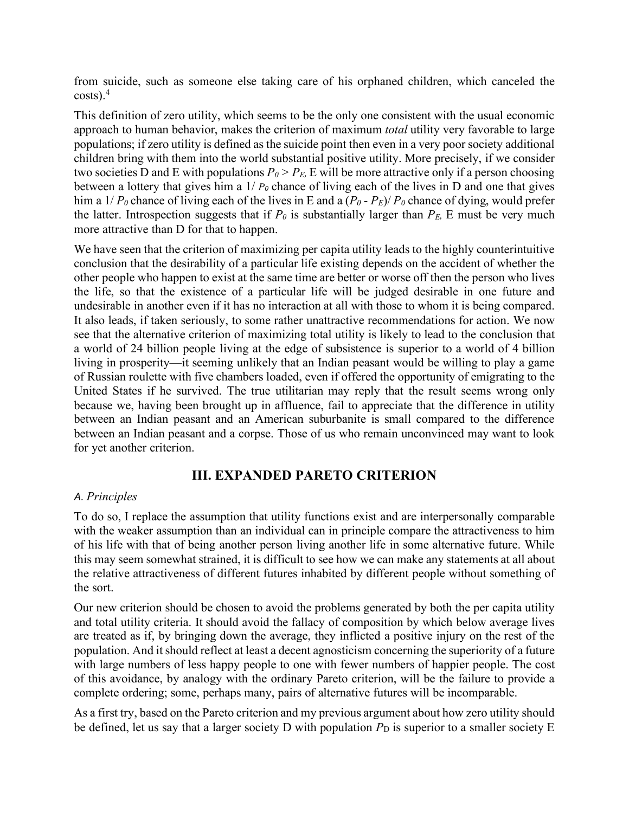from suicide, such as someone else taking care of his orphaned children, which canceled the  $costs$ ).<sup>4</sup>

This definition of zero utility, which seems to be the only one consistent with the usual economic approach to human behavior, makes the criterion of maximum *total* utility very favorable to large populations; if zero utility is defined as the suicide point then even in a very poor society additional children bring with them into the world substantial positive utility. More precisely, if we consider two societies D and E with populations  $P_0 > P_E$ , E will be more attractive only if a person choosing between a lottery that gives him a 1/ *P<sup>0</sup>* chance of living each of the lives in D and one that gives him a  $1/P_0$  chance of living each of the lives in E and a  $(P_0 - P_E)/P_0$  chance of dying, would prefer the latter. Introspection suggests that if  $P_0$  is substantially larger than  $P_E$ , E must be very much more attractive than D for that to happen.

We have seen that the criterion of maximizing per capita utility leads to the highly counterintuitive conclusion that the desirability of a particular life existing depends on the accident of whether the other people who happen to exist at the same time are better or worse off then the person who lives the life, so that the existence of a particular life will be judged desirable in one future and undesirable in another even if it has no interaction at all with those to whom it is being compared. It also leads, if taken seriously, to some rather unattractive recommendations for action. We now see that the alternative criterion of maximizing total utility is likely to lead to the conclusion that a world of 24 billion people living at the edge of subsistence is superior to a world of 4 billion living in prosperity—it seeming unlikely that an Indian peasant would be willing to play a game of Russian roulette with five chambers loaded, even if offered the opportunity of emigrating to the United States if he survived. The true utilitarian may reply that the result seems wrong only because we, having been brought up in affluence, fail to appreciate that the difference in utility between an Indian peasant and an American suburbanite is small compared to the difference between an Indian peasant and a corpse. Those of us who remain unconvinced may want to look for yet another criterion.

### **III. EXPANDED PARETO CRITERION**

#### *A. Principles*

To do so, I replace the assumption that utility functions exist and are interpersonally comparable with the weaker assumption than an individual can in principle compare the attractiveness to him of his life with that of being another person living another life in some alternative future. While this may seem somewhat strained, it is difficult to see how we can make any statements at all about the relative attractiveness of different futures inhabited by different people without something of the sort.

Our new criterion should be chosen to avoid the problems generated by both the per capita utility and total utility criteria. It should avoid the fallacy of composition by which below average lives are treated as if, by bringing down the average, they inflicted a positive injury on the rest of the population. And it should reflect at least a decent agnosticism concerning the superiority of a future with large numbers of less happy people to one with fewer numbers of happier people. The cost of this avoidance, by analogy with the ordinary Pareto criterion, will be the failure to provide a complete ordering; some, perhaps many, pairs of alternative futures will be incomparable.

As a first try, based on the Pareto criterion and my previous argument about how zero utility should be defined, let us say that a larger society D with population  $P_D$  is superior to a smaller society E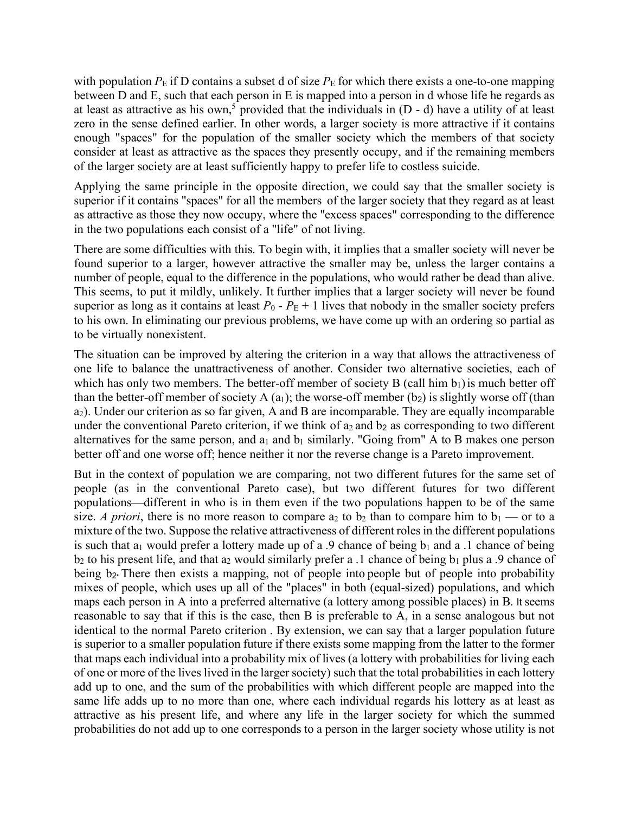with population  $P_{\rm E}$  if D contains a subset d of size  $P_{\rm E}$  for which there exists a one-to-one mapping between D and E, such that each person in E is mapped into a person in d whose life he regards as at least as attractive as his own,<sup>5</sup> provided that the individuals in  $(D - d)$  have a utility of at least zero in the sense defined earlier. In other words, a larger society is more attractive if it contains enough "spaces" for the population of the smaller society which the members of that society consider at least as attractive as the spaces they presently occupy, and if the remaining members of the larger society are at least sufficiently happy to prefer life to costless suicide.

Applying the same principle in the opposite direction, we could say that the smaller society is superior if it contains "spaces" for all the members of the larger society that they regard as at least as attractive as those they now occupy, where the "excess spaces" corresponding to the difference in the two populations each consist of a "life" of not living.

There are some difficulties with this. To begin with, it implies that a smaller society will never be found superior to a larger, however attractive the smaller may be, unless the larger contains a number of people, equal to the difference in the populations, who would rather be dead than alive. This seems, to put it mildly, unlikely. It further implies that a larger society will never be found superior as long as it contains at least  $P_0 - P_E + 1$  lives that nobody in the smaller society prefers to his own. In eliminating our previous problems, we have come up with an ordering so partial as to be virtually nonexistent.

The situation can be improved by altering the criterion in a way that allows the attractiveness of one life to balance the unattractiveness of another. Consider two alternative societies, each of which has only two members. The better-off member of society B (call him  $b_1$ ) is much better off than the better-off member of society A  $(a_1)$ ; the worse-off member  $(b_2)$  is slightly worse off (than a2). Under our criterion as so far given, A and B are incomparable. They are equally incomparable under the conventional Pareto criterion, if we think of  $a_2$  and  $b_2$  as corresponding to two different alternatives for the same person, and  $a_1$  and  $b_1$  similarly. "Going from" A to B makes one person better off and one worse off; hence neither it nor the reverse change is a Pareto improvement.

But in the context of population we are comparing, not two different futures for the same set of people (as in the conventional Pareto case), but two different futures for two different populations—different in who is in them even if the two populations happen to be of the same size. *A priori*, there is no more reason to compare  $a_2$  to  $b_2$  than to compare him to  $b_1$  — or to a mixture of the two. Suppose the relative attractiveness of different roles in the different populations is such that  $a_1$  would prefer a lottery made up of a .9 chance of being  $b_1$  and a .1 chance of being  $b_2$  to his present life, and that a<sub>2</sub> would similarly prefer a .1 chance of being  $b_1$  plus a .9 chance of being b<sub>2</sub>. There then exists a mapping, not of people into people but of people into probability mixes of people, which uses up all of the "places" in both (equal-sized) populations, and which maps each person in A into a preferred alternative (a lottery among possible places) in B. It seems reasonable to say that if this is the case, then B is preferable to A, in a sense analogous but not identical to the normal Pareto criterion . By extension, we can say that a larger population future is superior to a smaller population future if there exists some mapping from the latter to the former that maps each individual into a probability mix of lives (a lottery with probabilities for living each of one or more of the lives lived in the larger society) such that the total probabilities in each lottery add up to one, and the sum of the probabilities with which different people are mapped into the same life adds up to no more than one, where each individual regards his lottery as at least as attractive as his present life, and where any life in the larger society for which the summed probabilities do not add up to one corresponds to a person in the larger society whose utility is not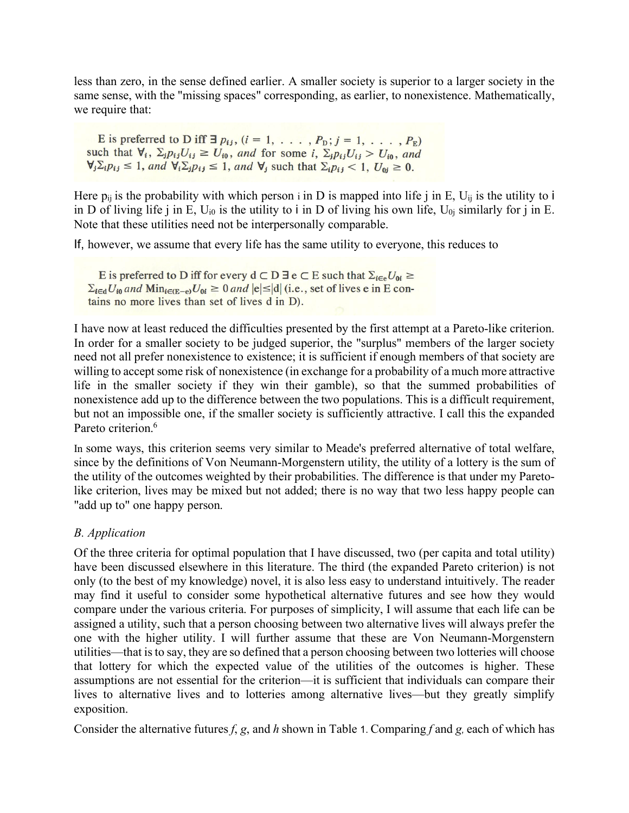less than zero, in the sense defined earlier. A smaller society is superior to a larger society in the same sense, with the "missing spaces" corresponding, as earlier, to nonexistence. Mathematically, we require that:

E is preferred to D iff  $\exists p_{ij}$ ,  $(i = 1, \ldots, P_D; j = 1, \ldots, P_E)$ such that  $\forall_i$ ,  $\Sigma_j p_{ij} U_{ij} \geq U_{i0}$ , and for some i,  $\Sigma_j p_{ij} U_{ij} > U_{i0}$ , and  $\forall_j \Sigma_i p_{ij} \leq 1$ , and  $\forall_i \Sigma_j p_{ij} \leq 1$ , and  $\forall_j$  such that  $\Sigma_i p_{ij} < 1$ ,  $U_{0j} \geq 0$ .

Here  $p_{ij}$  is the probability with which person i in D is mapped into life j in E,  $U_{ij}$  is the utility to i in D of living life j in E,  $U_{i0}$  is the utility to i in D of living his own life,  $U_{0i}$  similarly for j in E. Note that these utilities need not be interpersonally comparable.

If, however, we assume that every life has the same utility to everyone, this reduces to

E is preferred to D iff for every  $d \subset D \exists e \subset E$  such that  $\Sigma_{i \in e} U_{0i} \ge$  $\Sigma_{i \in d} U_{i0}$  and  $\text{Min}_{i \in (E-e)} U_{0i} \ge 0$  and  $|e| \le |d|$  (i.e., set of lives e in E contains no more lives than set of lives d in D).

I have now at least reduced the difficulties presented by the first attempt at a Pareto-like criterion. In order for a smaller society to be judged superior, the "surplus" members of the larger society need not all prefer nonexistence to existence; it is sufficient if enough members of that society are willing to accept some risk of nonexistence (in exchange for a probability of a much more attractive life in the smaller society if they win their gamble), so that the summed probabilities of nonexistence add up to the difference between the two populations. This is a difficult requirement, but not an impossible one, if the smaller society is sufficiently attractive. I call this the expanded Pareto criterion.<sup>6</sup>

In some ways, this criterion seems very similar to Meade's preferred alternative of total welfare, since by the definitions of Von Neumann-Morgenstern utility, the utility of a lottery is the sum of the utility of the outcomes weighted by their probabilities. The difference is that under my Paretolike criterion, lives may be mixed but not added; there is no way that two less happy people can "add up to" one happy person.

#### *B. Application*

Of the three criteria for optimal population that I have discussed, two (per capita and total utility) have been discussed elsewhere in this literature. The third (the expanded Pareto criterion) is not only (to the best of my knowledge) novel, it is also less easy to understand intuitively. The reader may find it useful to consider some hypothetical alternative futures and see how they would compare under the various criteria. For purposes of simplicity, I will assume that each life can be assigned a utility, such that a person choosing between two alternative lives will always prefer the one with the higher utility. I will further assume that these are Von Neumann-Morgenstern utilities—that is to say, they are so defined that a person choosing between two lotteries will choose that lottery for which the expected value of the utilities of the outcomes is higher. These assumptions are not essential for the criterion—it is sufficient that individuals can compare their lives to alternative lives and to lotteries among alternative lives—but they greatly simplify exposition.

Consider the alternative futures *f*, *g*, and *h* shown in Table 1. Comparing *f* and *g,* each of which has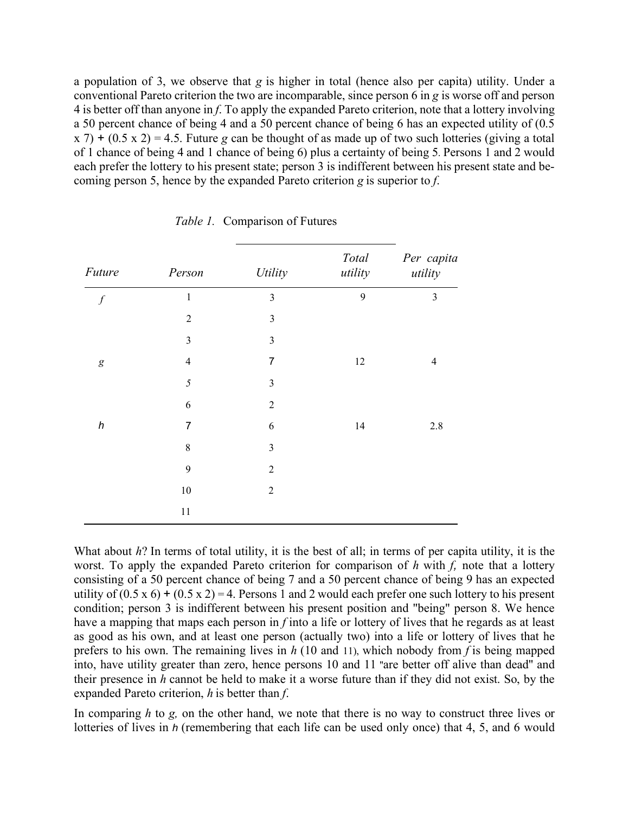a population of 3, we observe that *g* is higher in total (hence also per capita) utility. Under a conventional Pareto criterion the two are incomparable, since person 6 in *g* is worse off and person 4 is better off than anyone in *f*. To apply the expanded Pareto criterion, note that a lottery involving a 50 percent chance of being 4 and a 50 percent chance of being 6 has an expected utility of (0.5 x 7) + (0.5 x 2) = 4.5. Future *g* can be thought of as made up of two such lotteries (giving a total of 1 chance of being 4 and 1 chance of being 6) plus a certainty of being 5*.* Persons 1 and 2 would each prefer the lottery to his present state; person 3 is indifferent between his present state and becoming person 5, hence by the expanded Pareto criterion *g* is superior to *f*.

| Future           | Person         |                         |                  |                       |
|------------------|----------------|-------------------------|------------------|-----------------------|
|                  |                | <b>Utility</b>          | Total<br>utility | Per capita<br>utility |
| $\boldsymbol{f}$ | $\mathbf{1}$   | $\overline{3}$          | 9                | 3                     |
|                  | $\overline{2}$ | $\overline{\mathbf{3}}$ |                  |                       |
|                  | $\mathfrak{Z}$ | $\overline{\mathbf{3}}$ |                  |                       |
| $\boldsymbol{g}$ | $\overline{4}$ | 7                       | 12               | $\overline{4}$        |
|                  | $\mathfrak{H}$ | $\overline{3}$          |                  |                       |
|                  | 6              | $\overline{2}$          |                  |                       |
| $\boldsymbol{h}$ | 7              | 6                       | 14               | 2.8                   |
|                  | 8              | $\overline{3}$          |                  |                       |
|                  | 9              | $\overline{2}$          |                  |                       |
|                  | $10\,$         | $\overline{2}$          |                  |                       |
|                  | $11\,$         |                         |                  |                       |
|                  |                |                         |                  |                       |

*Table 1.* Comparison of Futures

What about *h*? In terms of total utility, it is the best of all; in terms of per capita utility, it is the worst. To apply the expanded Pareto criterion for comparison of *h* with *f*, note that a lottery consisting of a 50 percent chance of being 7 and a 50 percent chance of being 9 has an expected utility of  $(0.5 \times 6) + (0.5 \times 2) = 4$ . Persons 1 and 2 would each prefer one such lottery to his present condition; person 3 is indifferent between his present position and "being" person 8. We hence have a mapping that maps each person in *f* into a life or lottery of lives that he regards as at least as good as his own, and at least one person (actually two) into a life or lottery of lives that he prefers to his own. The remaining lives in *h* (10 and 11), which nobody from *f* is being mapped into, have utility greater than zero, hence persons 10 and 11 ''are better off alive than dead'' and their presence in *h* cannot be held to make it a worse future than if they did not exist. So, by the expanded Pareto criterion, *h* is better than *f*.

In comparing *h* to *g*, on the other hand, we note that there is no way to construct three lives or lotteries of lives in *h* (remembering that each life can be used only once) that 4, 5, and 6 would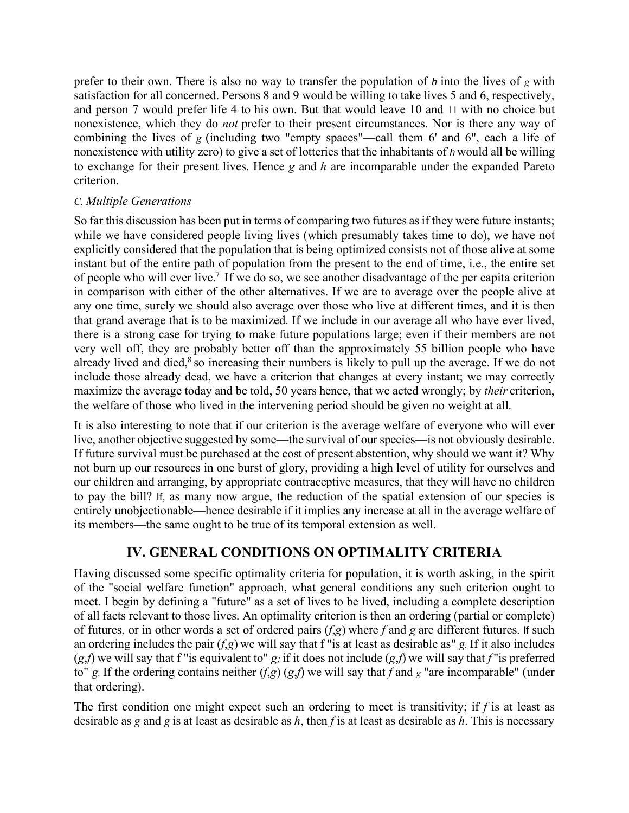prefer to their own. There is also no way to transfer the population of *h* into the lives of *g* with satisfaction for all concerned. Persons 8 and 9 would be willing to take lives 5 and 6, respectively, and person 7 would prefer life 4 to his own. But that would leave 10 and 11 with no choice but nonexistence, which they do *not* prefer to their present circumstances. Nor is there any way of combining the lives of *g* (including two "empty spaces"—call them 6' and 6", each a life of nonexistence with utility zero) to give a set of lotteries that the inhabitants of *h* would all be willing to exchange for their present lives. Hence *g* and *h* are incomparable under the expanded Pareto criterion.

#### *C. Multiple Generations*

So far this discussion has been put in terms of comparing two futures as if they were future instants; while we have considered people living lives (which presumably takes time to do), we have not explicitly considered that the population that is being optimized consists not of those alive at some instant but of the entire path of population from the present to the end of time, i.e., the entire set of people who will ever live.7 If we do so, we see another disadvantage of the per capita criterion in comparison with either of the other alternatives. If we are to average over the people alive at any one time, surely we should also average over those who live at different times, and it is then that grand average that is to be maximized. If we include in our average all who have ever lived, there is a strong case for trying to make future populations large; even if their members are not very well off, they are probably better off than the approximately 55 billion people who have already lived and died, $8$  so increasing their numbers is likely to pull up the average. If we do not include those already dead, we have a criterion that changes at every instant; we may correctly maximize the average today and be told, 50 years hence, that we acted wrongly; by *their* criterion, the welfare of those who lived in the intervening period should be given no weight at all.

It is also interesting to note that if our criterion is the average welfare of everyone who will ever live, another objective suggested by some—the survival of our species—is not obviously desirable. If future survival must be purchased at the cost of present abstention, why should we want it? Why not burn up our resources in one burst of glory, providing a high level of utility for ourselves and our children and arranging, by appropriate contraceptive measures, that they will have no children to pay the bill? If, as many now argue, the reduction of the spatial extension of our species is entirely unobjectionable—hence desirable if it implies any increase at all in the average welfare of its members—the same ought to be true of its temporal extension as well.

### **IV. GENERAL CONDITIONS ON OPTIMALITY CRITERIA**

Having discussed some specific optimality criteria for population, it is worth asking, in the spirit of the "social welfare function" approach, what general conditions any such criterion ought to meet. I begin by defining a "future" as a set of lives to be lived, including a complete description of all facts relevant to those lives. An optimality criterion is then an ordering (partial or complete) of futures, or in other words a set of ordered pairs (*f*,*g*) where *f* and *g* are different futures. If such an ordering includes the pair (*f*,*g*) we will say that f "is at least as desirable as" *g.* If it also includes  $(g, f)$  we will say that f "is equivalent to"  $g$ ; if it does not include  $(g, f)$  we will say that *f* "is preferred to" *g*. If the ordering contains neither  $(f, g)$  (*g,f*) we will say that *f* and *g* "are incomparable" (under that ordering).

The first condition one might expect such an ordering to meet is transitivity; if *f* is at least as desirable as *g* and *g* is at least as desirable as *h*, then *f* is at least as desirable as *h*. This is necessary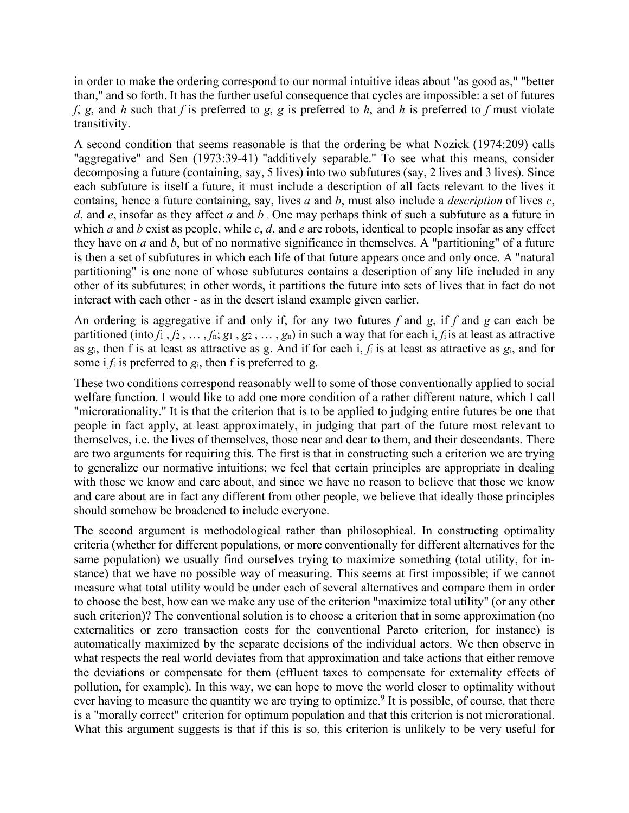in order to make the ordering correspond to our normal intuitive ideas about "as good as," "better than," and so forth. It has the further useful consequence that cycles are impossible: a set of futures *f*, *g*, and *h* such that *f* is preferred to *g*, *g* is preferred to *h*, and *h* is preferred to *f* must violate transitivity.

A second condition that seems reasonable is that the ordering be what Nozick (1974:209) calls "aggregative" and Sen (1973:39-41) "additively separable.'' To see what this means, consider decomposing a future (containing, say, 5 lives) into two subfutures (say, 2 lives and 3 lives). Since each subfuture is itself a future, it must include a description of all facts relevant to the lives it contains, hence a future containing, say, lives *a* and *b*, must also include a *description* of lives *c*, *d*, and *e*, insofar as they affect *a* and *b .* One may perhaps think of such a subfuture as a future in which *a* and *b* exist as people, while *c*, *d*, and *e* are robots, identical to people insofar as any effect they have on *a* and *b*, but of no normative significance in themselves. A "partitioning" of a future is then a set of subfutures in which each life of that future appears once and only once. A "natural partitioning" is one none of whose subfutures contains a description of any life included in any other of its subfutures; in other words, it partitions the future into sets of lives that in fact do not interact with each other - as in the desert island example given earlier.

An ordering is aggregative if and only if, for any two futures *f* and *g*, if *f* and *g* can each be partitioned (into  $f_1$ ,  $f_2$ , ...,  $f_n$ ;  $g_1$ ,  $g_2$ , ...,  $g_n$ ) in such a way that for each i,  $f_i$  is at least as attractive as *g*i, then f is at least as attractive as g. And if for each i, *f*<sup>i</sup> is at least as attractive as *g*i, and for some i  $f_i$  is preferred to  $g_i$ , then f is preferred to g.

These two conditions correspond reasonably well to some of those conventionally applied to social welfare function. I would like to add one more condition of a rather different nature, which I call "microrationality.'' It is that the criterion that is to be applied to judging entire futures be one that people in fact apply, at least approximately, in judging that part of the future most relevant to themselves, i.e. the lives of themselves, those near and dear to them, and their descendants. There are two arguments for requiring this. The first is that in constructing such a criterion we are trying to generalize our normative intuitions; we feel that certain principles are appropriate in dealing with those we know and care about, and since we have no reason to believe that those we know and care about are in fact any different from other people, we believe that ideally those principles should somehow be broadened to include everyone.

The second argument is methodological rather than philosophical. In constructing optimality criteria (whether for different populations, or more conventionally for different alternatives for the same population) we usually find ourselves trying to maximize something (total utility, for instance) that we have no possible way of measuring. This seems at first impossible; if we cannot measure what total utility would be under each of several alternatives and compare them in order to choose the best, how can we make any use of the criterion "maximize total utility" (or any other such criterion)? The conventional solution is to choose a criterion that in some approximation (no externalities or zero transaction costs for the conventional Pareto criterion, for instance) is automatically maximized by the separate decisions of the individual actors. We then observe in what respects the real world deviates from that approximation and take actions that either remove the deviations or compensate for them (effluent taxes to compensate for externality effects of pollution, for example). In this way, we can hope to move the world closer to optimality without ever having to measure the quantity we are trying to optimize.<sup>9</sup> It is possible, of course, that there is a "morally correct" criterion for optimum population and that this criterion is not microrational. What this argument suggests is that if this is so, this criterion is unlikely to be very useful for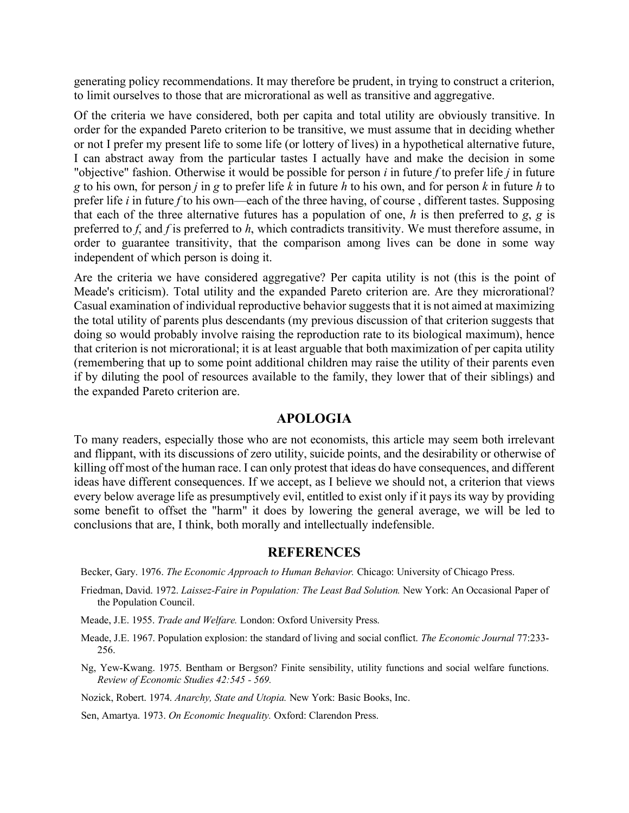generating policy recommendations. It may therefore be prudent, in trying to construct a criterion, to limit ourselves to those that are microrational as well as transitive and aggregative.

Of the criteria we have considered, both per capita and total utility are obviously transitive. In order for the expanded Pareto criterion to be transitive, we must assume that in deciding whether or not I prefer my present life to some life (or lottery of lives) in a hypothetical alternative future, I can abstract away from the particular tastes I actually have and make the decision in some "objective" fashion. Otherwise it would be possible for person *i* in future *f* to prefer life *j* in future *g* to his own, for person *j* in *g* to prefer life *k* in future *h* to his own, and for person *k* in future *h* to prefer life *i* in future *f* to his own—each of the three having, of course , different tastes. Supposing that each of the three alternative futures has a population of one, *h* is then preferred to *g*, *g* is preferred to *f*, and *f* is preferred to *h*, which contradicts transitivity. We must therefore assume, in order to guarantee transitivity, that the comparison among lives can be done in some way independent of which person is doing it.

Are the criteria we have considered aggregative? Per capita utility is not (this is the point of Meade's criticism). Total utility and the expanded Pareto criterion are. Are they microrational? Casual examination of individual reproductive behavior suggests that it is not aimed at maximizing the total utility of parents plus descendants (my previous discussion of that criterion suggests that doing so would probably involve raising the reproduction rate to its biological maximum), hence that criterion is not microrational; it is at least arguable that both maximization of per capita utility (remembering that up to some point additional children may raise the utility of their parents even if by diluting the pool of resources available to the family, they lower that of their siblings) and the expanded Pareto criterion are.

#### **APOLOGIA**

To many readers, especially those who are not economists, this article may seem both irrelevant and flippant, with its discussions of zero utility, suicide points, and the desirability or otherwise of killing off most of the human race. I can only protest that ideas do have consequences, and different ideas have different consequences. If we accept, as I believe we should not, a criterion that views every below average life as presumptively evil, entitled to exist only if it pays its way by providing some benefit to offset the "harm" it does by lowering the general average, we will be led to conclusions that are, I think, both morally and intellectually indefensible.

#### **REFERENCES**

Becker, Gary. 1976. *The Economic Approach to Human Behavior.* Chicago: University of Chicago Press.

- Friedman, David. 1972. *Laissez-Faire in Population: The Least Bad Solution.* New York: An Occasional Paper of the Population Council.
- Meade, J.E. 1955. *Trade and Welfare.* London: Oxford University Press.
- Meade, J.E. 1967. Population explosion: the standard of living and social conflict. *The Economic Journal* 77:233- 256.
- Ng, Yew-Kwang. 1975. Bentham or Bergson? Finite sensibility, utility functions and social welfare functions. *Review of Economic Studies 42:545 - 569.*

Nozick, Robert. 1974. *Anarchy, State and Utopia.* New York: Basic Books, Inc.

Sen, Amartya. 1973. *On Economic Inequality.* Oxford: Clarendon Press.